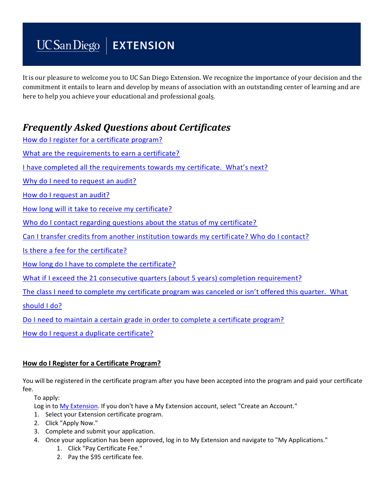# $UCSan Diego$  EXTENSION

It is our pleasure to welcome you to UC San Diego Extension. We recognize the importance of your decision and the commitment it entails to learn and develop by means of association with an outstanding center of learning and are here to help you achieve your educational and professional goals.

# *Frequently Asked Questions about Certificates*

| How do I register for a certificate program?                                                         |
|------------------------------------------------------------------------------------------------------|
| What are the requirements to earn a certificate?                                                     |
| I have completed all the requirements towards my certificate. What's next?                           |
| Why do I need to request an audit?                                                                   |
| How do I request an audit?                                                                           |
| How long will it take to receive my certificate?                                                     |
| Who do I contact regarding questions about the status of my certificate?                             |
| Can I transfer credits from another institution towards my certificate? Who do I contact?            |
| Is there a fee for the certificate?                                                                  |
| How long do I have to complete the certificate?                                                      |
| What if I exceed the 21 consecutive quarters (about 5 years) completion requirement?                 |
| The class I need to complete my certificate program was canceled or isn't offered this quarter. What |
| should I do?                                                                                         |
| Do I need to maintain a certain grade in order to complete a certificate program?                    |
| How do I request a duplicate certificate?                                                            |
|                                                                                                      |

# <span id="page-0-0"></span>**How do I Register for a Certificate Program?**

You will be registered in the certificate program after you have been accepted into the program and paid your certificate fee.

To apply:

Log in to [My Extension.](http://myextension.ucsd.edu/) If you don't have a My Extension account, select "Create an Account."

- 1. Select your Extension certificate program.
- 2. Click "Apply Now."
- 3. Complete and submit your application.
- 4. Once your application has been approved, log in to My Extension and navigate to "My Applications."
	- 1. Click "Pay Certificate Fee."
	- 2. Pay the \$95 certificate fee.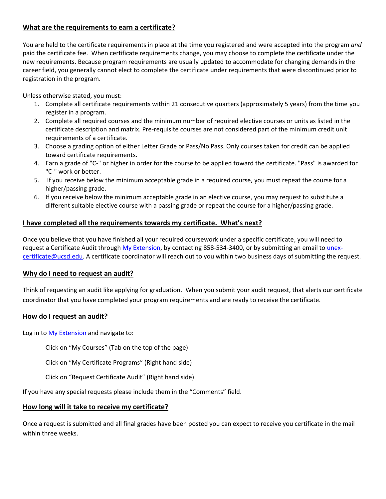#### <span id="page-1-0"></span>**What are the requirements to earn a certificate?**

You are held to the certificate requirements in place at the time you registered and were accepted into the program *and* paid the certificate fee. When certificate requirements change, you may choose to complete the certificate under the new requirements. Because program requirements are usually updated to accommodate for changing demands in the career field, you generally cannot elect to complete the certificate under requirements that were discontinued prior to registration in the program.

Unless otherwise stated, you must:

- 1. Complete all certificate requirements within 21 consecutive quarters (approximately 5 years) from the time you register in a program.
- 2. Complete all required courses and the minimum number of required elective courses or units as listed in the certificate description and matrix. Pre-requisite courses are not considered part of the minimum credit unit requirements of a certificate.
- 3. Choose a grading option of either Letter Grade or Pass/No Pass. Only courses taken for credit can be applied toward certificate requirements.
- 4. Earn a grade of "C-" or higher in order for the course to be applied toward the certificate. "Pass" is awarded for "C-" work or better.
- 5. If you receive below the minimum acceptable grade in a required course, you must repeat the course for a higher/passing grade.
- 6. If you receive below the minimum acceptable grade in an elective course, you may request to substitute a different suitable elective course with a passing grade or repeat the course for a higher/passing grade.

#### <span id="page-1-1"></span>**I have completed all the requirements towards my certificate. What's next?**

Once you believe that you have finished all your required coursework under a specific certificate, you will need to request a Certificate Audit through [My Extension,](https://myextension.ucsd.edu/?_ga=2.237307648.1000160911.1519143221-264624125.1481302523) by contacting 858-534-3400, or by submitting an email to [unex](mailto:unex-certificate@ucsd.edu)[certificate@ucsd.edu.](mailto:unex-certificate@ucsd.edu) A certificate coordinator will reach out to you within two business days of submitting the request.

#### <span id="page-1-2"></span>**Why do I need to request an audit?**

Think of requesting an audit like applying for graduation. When you submit your audit request, that alerts our certificate coordinator that you have completed your program requirements and are ready to receive the certificate.

#### <span id="page-1-3"></span>**How do I request an audit?**

Log in to [My Extension](https://myextension.ucsd.edu/?_ga=2.237307648.1000160911.1519143221-264624125.1481302523) and navigate to:

Click on "My Courses" (Tab on the top of the page)

Click on "My Certificate Programs" (Right hand side)

Click on "Request Certificate Audit" (Right hand side)

If you have any special requests please include them in the "Comments" field.

#### <span id="page-1-4"></span>**How long will it take to receive my certificate?**

Once a request is submitted and all final grades have been posted you can expect to receive you certificate in the mail within three weeks.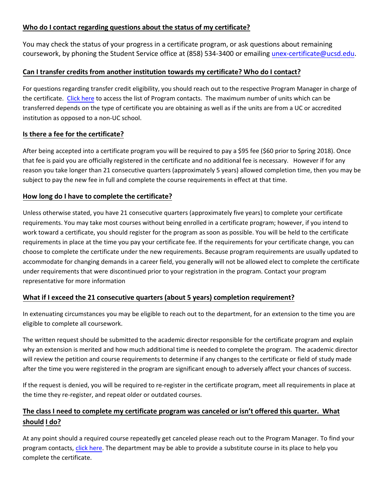## <span id="page-2-0"></span>**Who do I contact regarding questions about the status of my certificate?**

You may check the status of your progress in a certificate program, or ask questions about remaining coursework, by phoning the Student Service office at (858) 534-3400 or emailing [unex-certificate@ucsd.edu.](mailto:unex-certificate@ucsd.edu)

# <span id="page-2-1"></span>**Can I transfer credits from another institution towards my certificate? Who do I contact?**

For questions regarding transfer credit eligibility, you should reach out to the respective Program Manager in charge of the certificate. [Click here](https://extension.ucsd.edu/about-extension/Contact-Us) to access the list of Program contacts. The maximum number of units which can be transferred depends on the type of certificate you are obtaining as well as if the units are from a UC or accredited institution as opposed to a non-UC school.

## <span id="page-2-2"></span>**Is there a fee for the certificate?**

After being accepted into a certificate program you will be required to pay a \$95 fee (\$60 prior to Spring 2018). Once that fee is paid you are officially registered in the certificate and no additional fee is necessary. However if for any reason you take longer than 21 consecutive quarters (approximately 5 years) allowed completion time, then you may be subject to pay the new fee in full and complete the course requirements in effect at that time.

# <span id="page-2-3"></span>**How long do I have to complete the certificate?**

Unless otherwise stated, you have 21 consecutive quarters (approximately five years) to complete your certificate requirements. You may take most courses without being enrolled in a certificate program; however, if you intend to work toward a certificate, you should register for the program as soon as possible. You will be held to the certificate requirements in place at the time you pay your certificate fee. If the requirements for your certificate change, you can choose to complete the certificate under the new requirements. Because program requirements are usually updated to accommodate for changing demands in a career field, you generally will not be allowed elect to complete the certificate under requirements that were discontinued prior to your registration in the program. Contact your program representative for more information

# <span id="page-2-4"></span>**What if I exceed the 21 consecutive quarters (about 5 years) completion requirement?**

In extenuating circumstances you may be eligible to reach out to the department, for an extension to the time you are eligible to complete all coursework.

The written request should be submitted to the academic director responsible for the certificate program and explain why an extension is merited and how much additional time is needed to complete the program. The academic director will review the petition and course requirements to determine if any changes to the certificate or field of study made after the time you were registered in the program are significant enough to adversely affect your chances of success.

If the request is denied, you will be required to re-register in the certificate program, meet all requirements in place at the time they re-register, and repeat older or outdated courses.

# <span id="page-2-5"></span>**The class I need to complete my certificate program was canceled or isn't offered this quarter. What should I do?**

At any point should a required course repeatedly get canceled please reach out to the Program Manager. To find your program contacts, [click here.](https://extension.ucsd.edu/about-extension/Contact-Us) The department may be able to provide a substitute course in its place to help you complete the certificate.